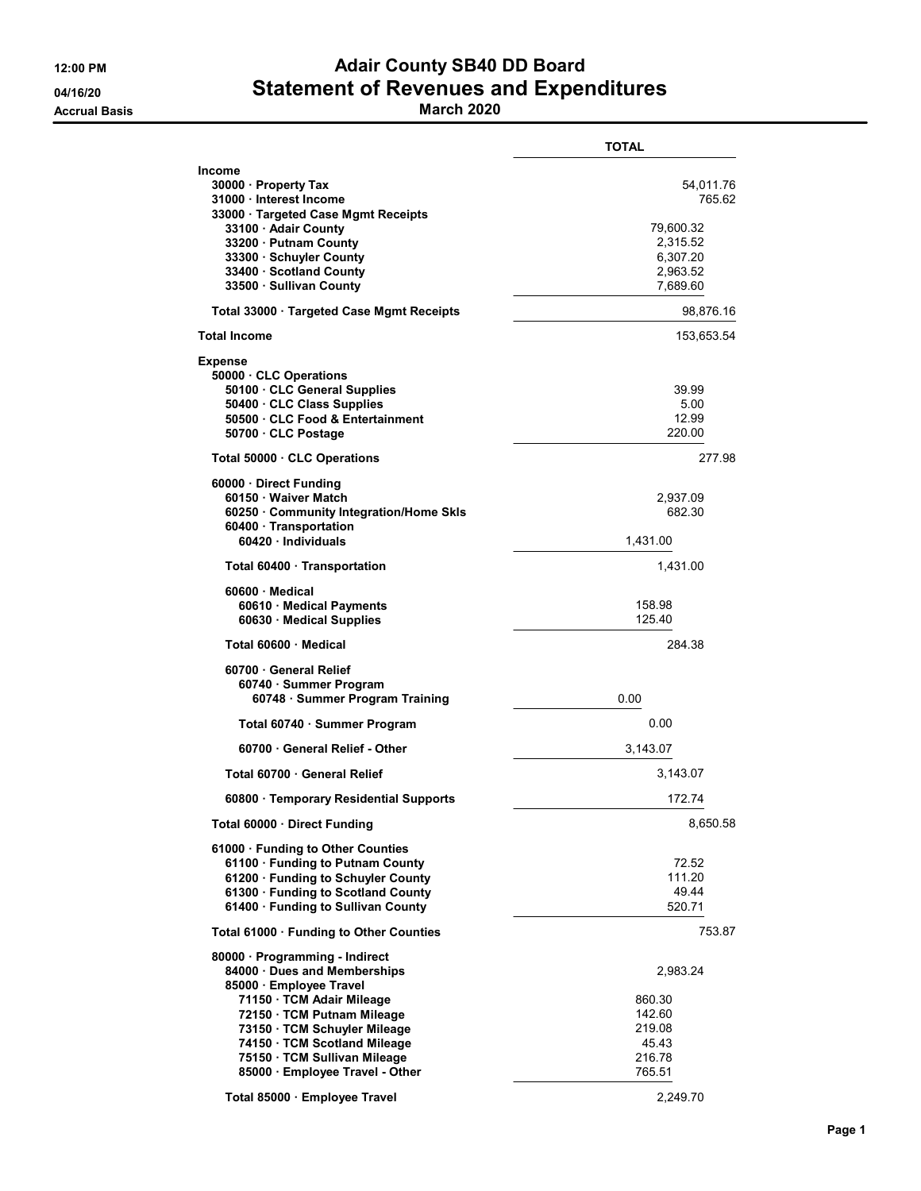# 12:00 PM **Adair County SB40 DD Board** 04/16/20 Statement of Revenues and Expenditures

Accrual Basis March 2020

|                                                                                                                                                                                                                                                                                     | <b>TOTAL</b>                                                                     |
|-------------------------------------------------------------------------------------------------------------------------------------------------------------------------------------------------------------------------------------------------------------------------------------|----------------------------------------------------------------------------------|
| <b>Income</b><br>30000 · Property Tax<br>31000 Interest Income<br>33000 · Targeted Case Mgmt Receipts<br>33100 · Adair County<br>33200 · Putnam County<br>33300 Schuyler County<br>33400 · Scotland County<br>33500 · Sullivan County                                               | 54,011.76<br>765.62<br>79,600.32<br>2,315.52<br>6,307.20<br>2,963.52<br>7,689.60 |
| Total 33000 · Targeted Case Mgmt Receipts                                                                                                                                                                                                                                           | 98,876.16                                                                        |
| <b>Total Income</b>                                                                                                                                                                                                                                                                 | 153,653.54                                                                       |
| <b>Expense</b><br>50000 CLC Operations<br>50100 · CLC General Supplies<br>50400 · CLC Class Supplies<br>50500 CLC Food & Entertainment<br>50700 CLC Postage                                                                                                                         | 39.99<br>5.00<br>12.99<br>220.00                                                 |
| Total 50000 · CLC Operations                                                                                                                                                                                                                                                        | 277.98                                                                           |
| 60000 Direct Funding<br>60150 · Waiver Match<br>60250 Community Integration/Home Skls<br>60400 Transportation<br>60420 · Individuals                                                                                                                                                | 2,937.09<br>682.30<br>1,431.00                                                   |
| Total 60400 · Transportation                                                                                                                                                                                                                                                        | 1,431.00                                                                         |
| $60600 \cdot$ Medical<br>60610 Medical Payments<br>60630 · Medical Supplies                                                                                                                                                                                                         | 158.98<br>125.40                                                                 |
| Total 60600 · Medical                                                                                                                                                                                                                                                               | 284.38                                                                           |
| 60700 General Relief<br>60740 · Summer Program<br>60748 · Summer Program Training                                                                                                                                                                                                   | 0.00                                                                             |
| Total 60740 · Summer Program                                                                                                                                                                                                                                                        | 0.00                                                                             |
| 60700 · General Relief - Other                                                                                                                                                                                                                                                      | 3,143.07                                                                         |
| Total 60700 · General Relief                                                                                                                                                                                                                                                        | 3,143.07                                                                         |
| 60800 · Temporary Residential Supports                                                                                                                                                                                                                                              | 172.74                                                                           |
| Total 60000 · Direct Funding                                                                                                                                                                                                                                                        | 8,650.58                                                                         |
| 61000 · Funding to Other Counties<br>61100 · Funding to Putnam County<br>61200 · Funding to Schuyler County<br>61300 · Funding to Scotland County<br>61400 · Funding to Sullivan County                                                                                             | 72.52<br>111.20<br>49.44<br>520.71                                               |
| Total 61000 · Funding to Other Counties                                                                                                                                                                                                                                             | 753.87                                                                           |
| 80000 · Programming - Indirect<br>84000 Dues and Memberships<br>85000 · Employee Travel<br>71150 TCM Adair Mileage<br>72150 · TCM Putnam Mileage<br>73150 · TCM Schuyler Mileage<br>74150 · TCM Scotland Mileage<br>75150 · TCM Sullivan Mileage<br>85000 · Employee Travel - Other | 2,983.24<br>860.30<br>142.60<br>219.08<br>45.43<br>216.78<br>765.51              |
| Total 85000 · Employee Travel                                                                                                                                                                                                                                                       | 2,249.70                                                                         |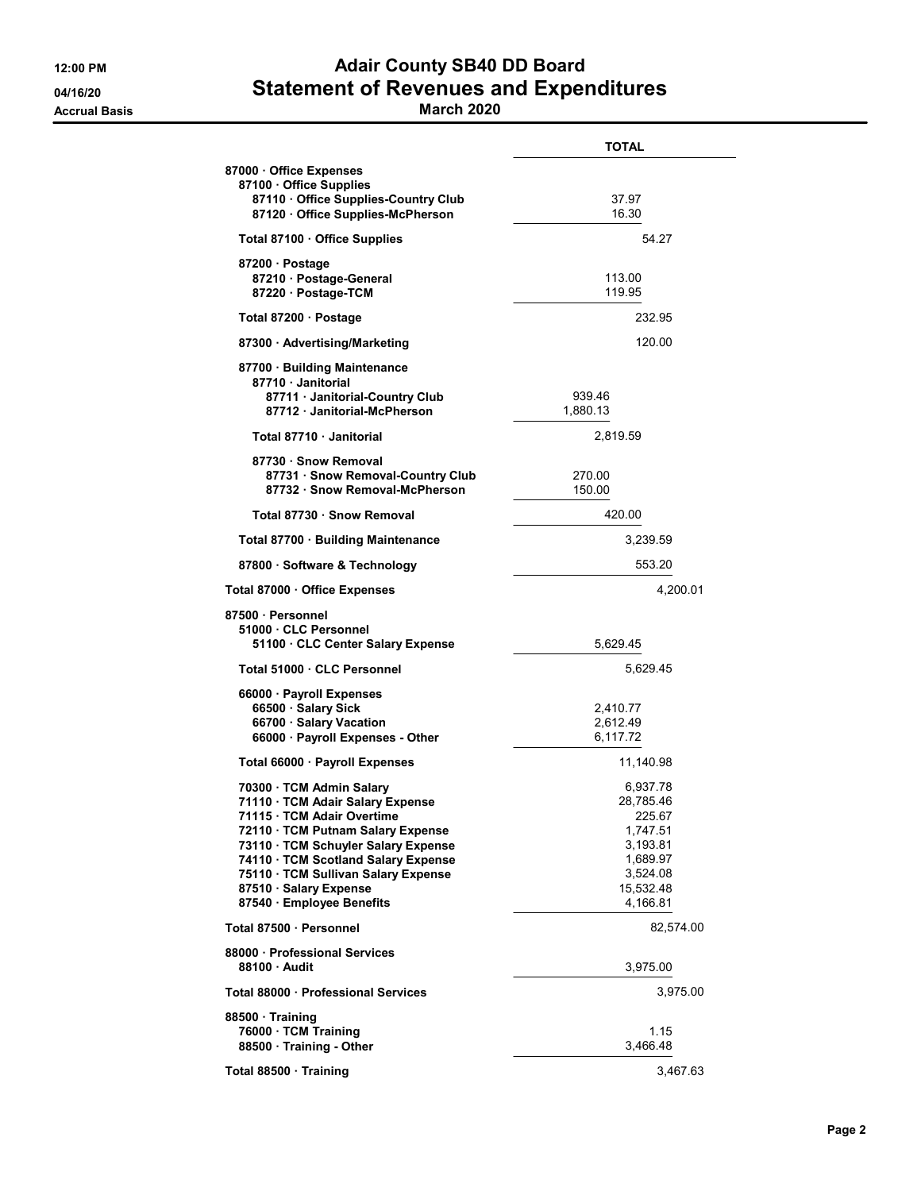## 12:00 PM **Adair County SB40 DD Board** 04/16/20 Statement of Revenues and Expenditures

#### Accrual Basis March 2020

|                                                                                                                                                                                                                                                                                                         | <b>TOTAL</b>                                                                                             |
|---------------------------------------------------------------------------------------------------------------------------------------------------------------------------------------------------------------------------------------------------------------------------------------------------------|----------------------------------------------------------------------------------------------------------|
| 87000 Office Expenses<br>87100 Office Supplies<br>87110 Office Supplies-Country Club<br>87120 Office Supplies-McPherson                                                                                                                                                                                 | 37.97<br>16.30                                                                                           |
| Total 87100 · Office Supplies                                                                                                                                                                                                                                                                           | 54.27                                                                                                    |
| 87200 Postage<br>87210 Postage-General<br>87220 · Postage-TCM                                                                                                                                                                                                                                           | 113.00<br>119.95                                                                                         |
| Total 87200 · Postage                                                                                                                                                                                                                                                                                   | 232.95                                                                                                   |
| 87300 Advertising/Marketing                                                                                                                                                                                                                                                                             | 120.00                                                                                                   |
| 87700 · Building Maintenance<br>87710 · Janitorial<br>87711 Janitorial-Country Club<br>87712 Janitorial-McPherson                                                                                                                                                                                       | 939.46<br>1,880.13                                                                                       |
| Total 87710 Janitorial                                                                                                                                                                                                                                                                                  | 2,819.59                                                                                                 |
| 87730 · Snow Removal<br>87731 · Snow Removal-Country Club<br>87732 Snow Removal-McPherson                                                                                                                                                                                                               | 270.00<br>150.00                                                                                         |
| Total 87730 · Snow Removal                                                                                                                                                                                                                                                                              | 420.00                                                                                                   |
| Total 87700 · Building Maintenance                                                                                                                                                                                                                                                                      | 3,239.59                                                                                                 |
| 87800 · Software & Technology                                                                                                                                                                                                                                                                           | 553.20                                                                                                   |
| Total 87000 · Office Expenses                                                                                                                                                                                                                                                                           | 4,200.01                                                                                                 |
| 87500 · Personnel<br>51000 CLC Personnel<br>51100 CLC Center Salary Expense                                                                                                                                                                                                                             | 5,629.45                                                                                                 |
| Total 51000 · CLC Personnel                                                                                                                                                                                                                                                                             | 5,629.45                                                                                                 |
| 66000 · Payroll Expenses<br>66500 · Salary Sick<br>66700 · Salary Vacation<br>66000 · Payroll Expenses - Other                                                                                                                                                                                          | 2,410.77<br>2,612.49<br>6,117.72                                                                         |
| Total 66000 · Payroll Expenses                                                                                                                                                                                                                                                                          | 11,140.98                                                                                                |
| 70300 · TCM Admin Salary<br>71110 · TCM Adair Salary Expense<br>71115 · TCM Adair Overtime<br>72110 TCM Putnam Salary Expense<br>73110 · TCM Schuyler Salary Expense<br>74110 · TCM Scotland Salary Expense<br>75110 · TCM Sullivan Salary Expense<br>87510 Salary Expense<br>87540 · Employee Benefits | 6,937.78<br>28,785.46<br>225.67<br>1,747.51<br>3,193.81<br>1,689.97<br>3,524.08<br>15,532.48<br>4,166.81 |
| Total 87500 · Personnel                                                                                                                                                                                                                                                                                 | 82,574.00                                                                                                |
| 88000 Professional Services<br>88100 Audit                                                                                                                                                                                                                                                              | 3,975.00                                                                                                 |
| Total 88000 · Professional Services                                                                                                                                                                                                                                                                     | 3,975.00                                                                                                 |
| 88500 Training<br>76000 · TCM Training<br>88500 · Training - Other                                                                                                                                                                                                                                      | 1.15<br>3,466.48                                                                                         |
| Total 88500 · Training                                                                                                                                                                                                                                                                                  | 3,467.63                                                                                                 |